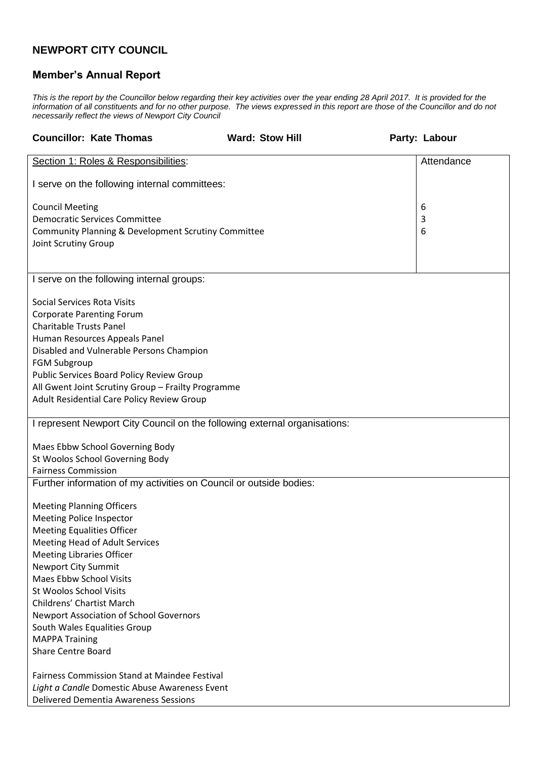## **NEWPORT CITY COUNCIL**

## **Member's Annual Report**

*This is the report by the Councillor below regarding their key activities over the year ending 28 April 2017. It is provided for the information of all constituents and for no other purpose. The views expressed in this report are those of the Councillor and do not necessarily reflect the views of Newport City Council*

| <b>Councillor: Kate Thomas</b>                                                                   | <b>Ward: Stow Hill</b> | Party: Labour |  |
|--------------------------------------------------------------------------------------------------|------------------------|---------------|--|
| Section 1: Roles & Responsibilities:                                                             |                        | Attendance    |  |
| I serve on the following internal committees:                                                    |                        |               |  |
| <b>Council Meeting</b>                                                                           |                        | 6             |  |
| <b>Democratic Services Committee</b>                                                             |                        | 3             |  |
| Community Planning & Development Scrutiny Committee<br>Joint Scrutiny Group                      |                        | 6             |  |
|                                                                                                  |                        |               |  |
| I serve on the following internal groups:                                                        |                        |               |  |
| <b>Social Services Rota Visits</b>                                                               |                        |               |  |
| <b>Corporate Parenting Forum</b>                                                                 |                        |               |  |
| <b>Charitable Trusts Panel</b><br>Human Resources Appeals Panel                                  |                        |               |  |
| Disabled and Vulnerable Persons Champion                                                         |                        |               |  |
| <b>FGM Subgroup</b>                                                                              |                        |               |  |
| Public Services Board Policy Review Group                                                        |                        |               |  |
| All Gwent Joint Scrutiny Group - Frailty Programme<br>Adult Residential Care Policy Review Group |                        |               |  |
|                                                                                                  |                        |               |  |
| I represent Newport City Council on the following external organisations:                        |                        |               |  |
| Maes Ebbw School Governing Body                                                                  |                        |               |  |
| St Woolos School Governing Body                                                                  |                        |               |  |
| <b>Fairness Commission</b>                                                                       |                        |               |  |
| Further information of my activities on Council or outside bodies:                               |                        |               |  |
| <b>Meeting Planning Officers</b>                                                                 |                        |               |  |
| <b>Meeting Police Inspector</b>                                                                  |                        |               |  |
| <b>Meeting Equalities Officer</b><br>Meeting Head of Adult Services                              |                        |               |  |
| <b>Meeting Libraries Officer</b>                                                                 |                        |               |  |
| <b>Newport City Summit</b>                                                                       |                        |               |  |
| <b>Maes Ebbw School Visits</b><br><b>St Woolos School Visits</b>                                 |                        |               |  |
| <b>Childrens' Chartist March</b>                                                                 |                        |               |  |
| <b>Newport Association of School Governors</b>                                                   |                        |               |  |
| South Wales Equalities Group                                                                     |                        |               |  |
| <b>MAPPA Training</b><br><b>Share Centre Board</b>                                               |                        |               |  |
|                                                                                                  |                        |               |  |
| <b>Fairness Commission Stand at Maindee Festival</b>                                             |                        |               |  |
| Light a Candle Domestic Abuse Awareness Event<br><b>Delivered Dementia Awareness Sessions</b>    |                        |               |  |
|                                                                                                  |                        |               |  |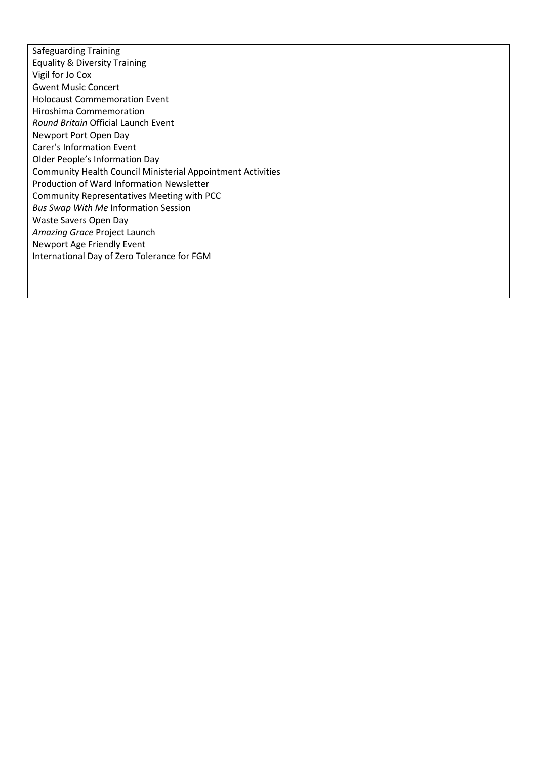Safeguarding Training Equality & Diversity Training Vigil for Jo Cox Gwent Music Concert Holocaust Commemoration Event Hiroshima Commemoration *Round Britain* Official Launch Event Newport Port Open Day Carer's Information Event Older People's Information Day Community Health Council Ministerial Appointment Activities Production of Ward Information Newsletter Community Representatives Meeting with PCC *Bus Swap With Me* Information Session Waste Savers Open Day *Amazing Grace* Project Launch Newport Age Friendly Event International Day of Zero Tolerance for FGM